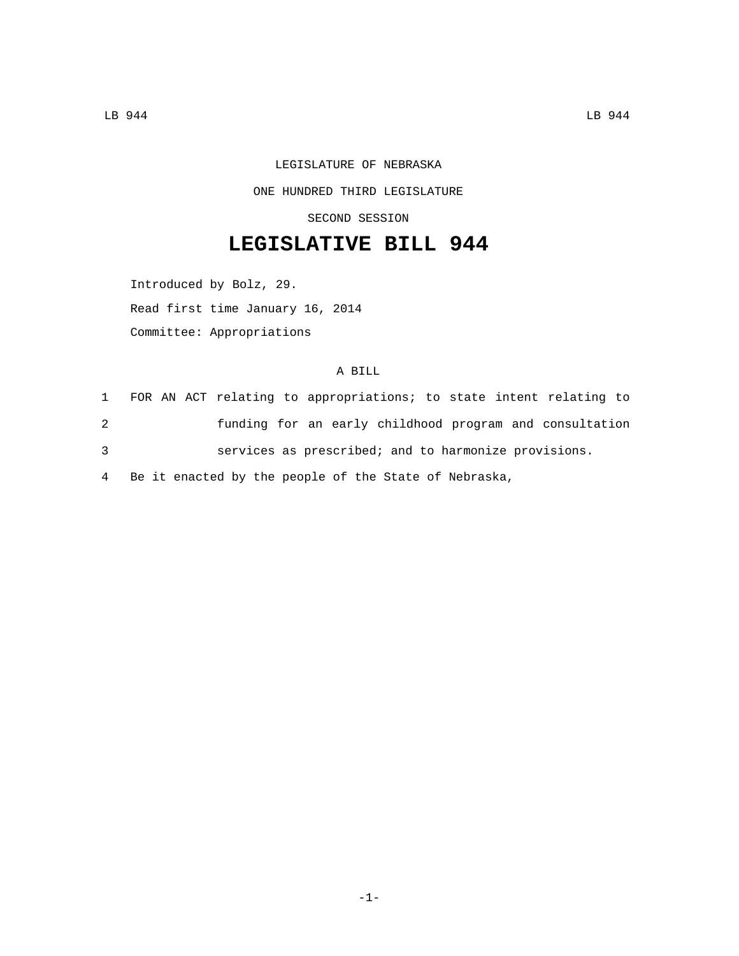LEGISLATURE OF NEBRASKA ONE HUNDRED THIRD LEGISLATURE SECOND SESSION

## **LEGISLATIVE BILL 944**

Introduced by Bolz, 29. Read first time January 16, 2014 Committee: Appropriations

## A BILL

 FOR AN ACT relating to appropriations; to state intent relating to funding for an early childhood program and consultation services as prescribed; and to harmonize provisions. Be it enacted by the people of the State of Nebraska,